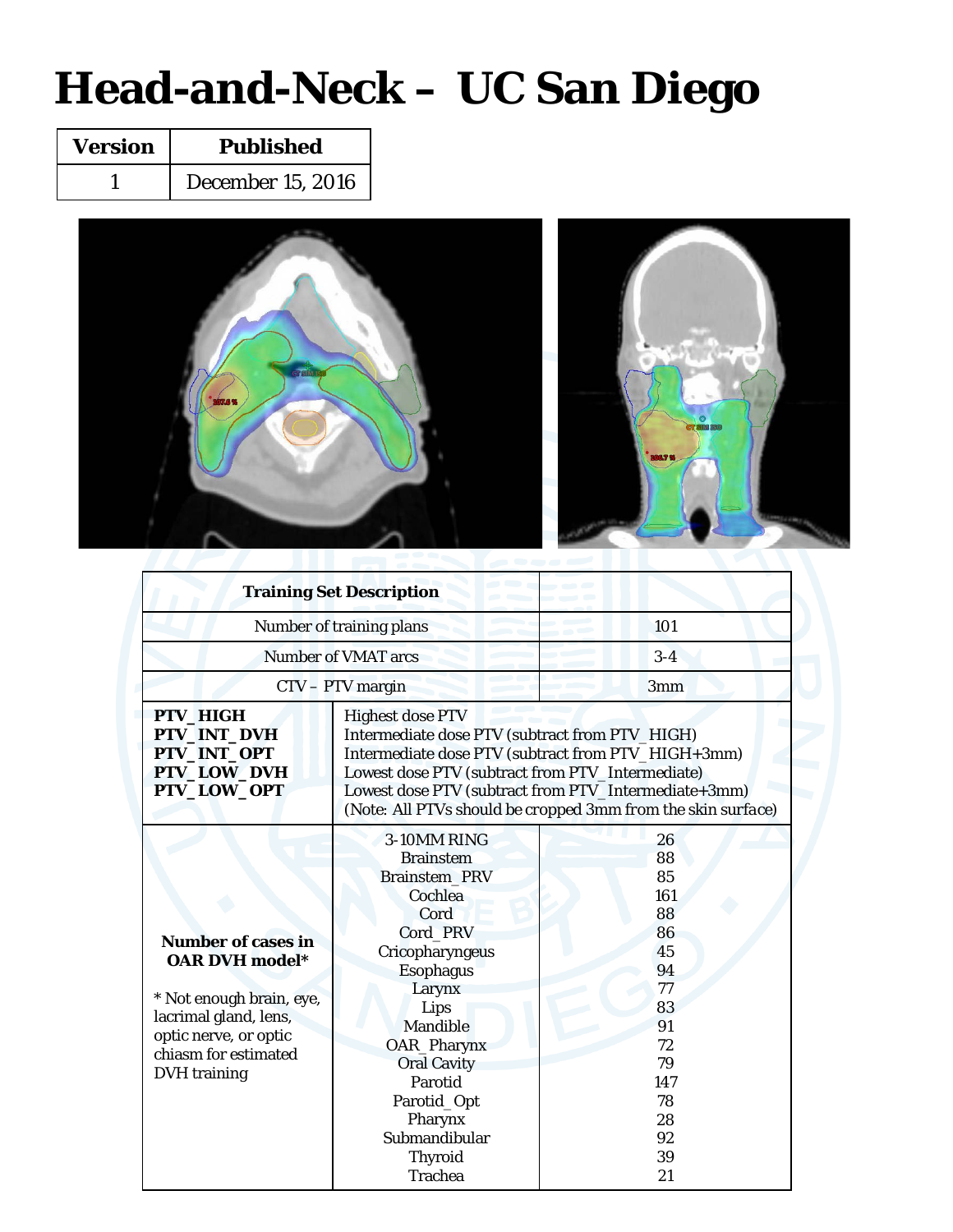### **Head-and-Neck – UC San Diego**

| <b>Version</b> | <b>Published</b>         |  |  |
|----------------|--------------------------|--|--|
|                | <b>December 15, 2016</b> |  |  |



|                                                                                                                                                                                 | <b>Training Set Description</b>                                                                                                                                                                                                                                                                             |                                                                                                            |  |  |  |  |
|---------------------------------------------------------------------------------------------------------------------------------------------------------------------------------|-------------------------------------------------------------------------------------------------------------------------------------------------------------------------------------------------------------------------------------------------------------------------------------------------------------|------------------------------------------------------------------------------------------------------------|--|--|--|--|
| Number of training plans                                                                                                                                                        | 101                                                                                                                                                                                                                                                                                                         |                                                                                                            |  |  |  |  |
| <b>Number of VMAT arcs</b>                                                                                                                                                      | $3-4$                                                                                                                                                                                                                                                                                                       |                                                                                                            |  |  |  |  |
|                                                                                                                                                                                 | CTV - PTV margin                                                                                                                                                                                                                                                                                            | 3mm                                                                                                        |  |  |  |  |
| PTV_HIGH<br>PTV_INT_DVH<br>PTV_INT_OPT<br>PTV_LOW_DVH<br>PTV_LOW_OPT                                                                                                            | <b>Highest dose PTV</b><br>Intermediate dose PTV (subtract from PTV_HIGH)<br>Intermediate dose PTV (subtract from PTV_HIGH+3mm)<br>Lowest dose PTV (subtract from PTV_Intermediate)<br>Lowest dose PTV (subtract from PTV_Intermediate+3mm)<br>(Note: All PTVs should be cropped 3mm from the skin surface) |                                                                                                            |  |  |  |  |
| <b>Number of cases in</b><br><b>OAR DVH</b> model*<br>* Not enough brain, eye,<br>lacrimal gland, lens,<br>optic nerve, or optic<br>chiasm for estimated<br><b>DVH</b> training | 3-10MM RING<br><b>Brainstem</b><br><b>Brainstem PRV</b><br>Cochlea<br>Cord<br>Cord PRV<br>Cricopharyngeus<br><b>Esophagus</b><br>Larynx<br>Lips<br>Mandible<br>OAR_Pharynx<br><b>Oral Cavity</b><br>Parotid<br>Parotid_Opt<br>Pharynx<br>Submandibular<br><b>Thyroid</b>                                    | 26<br>88<br>85<br>161<br>88<br>86<br>45<br>94<br>77<br>83<br>91<br>72<br>79<br>147<br>78<br>28<br>92<br>39 |  |  |  |  |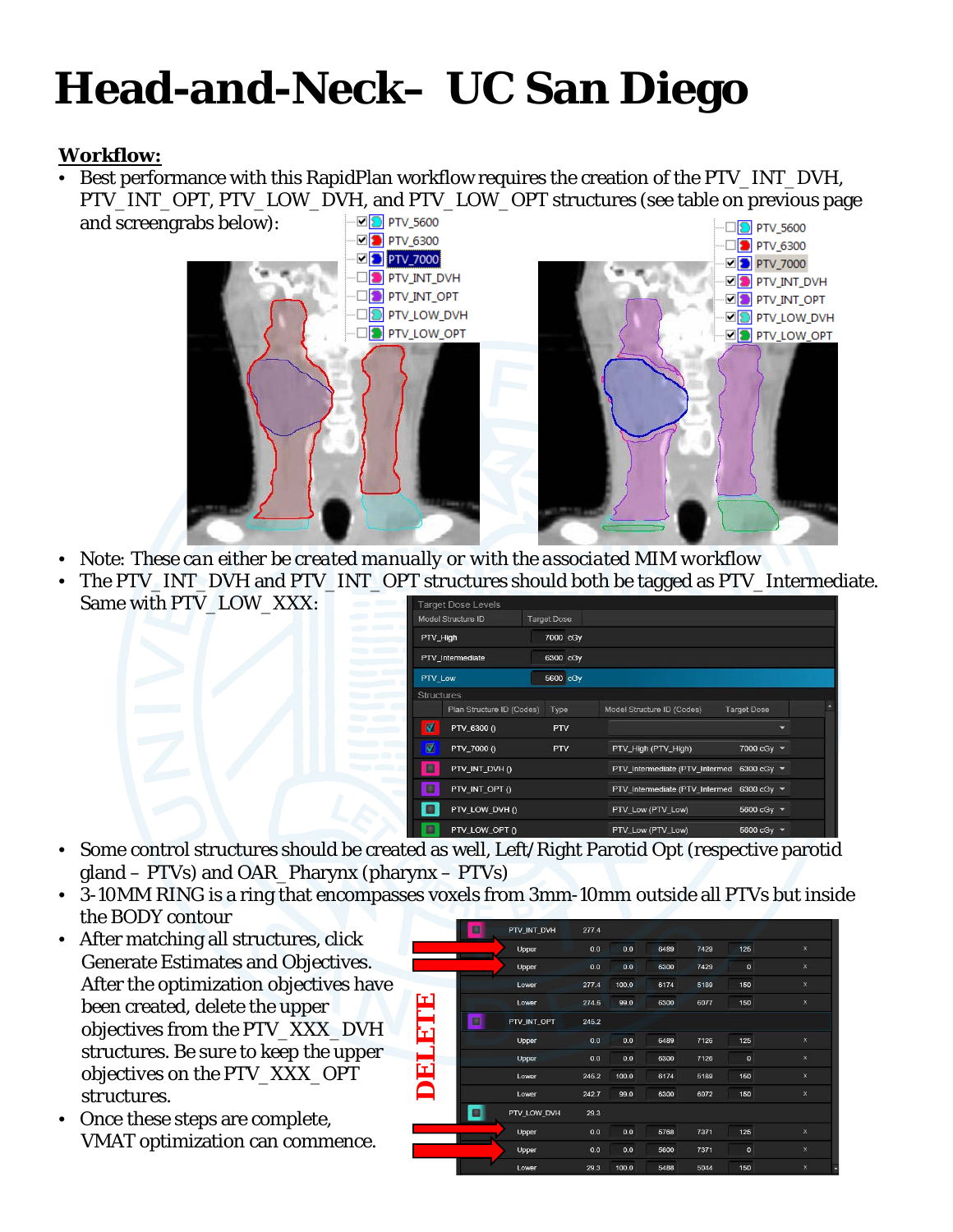## **Head-and-Neck– UC San Diego**

### **Workflow:**

• Best performance with this RapidPlan workflow requires the creation of the PTV\_INT\_DVH, PTV\_INT\_OPT, PTV\_LOW\_DVH, and PTV\_LOW\_OPT structures (see table on previous page



- *Note: These can either be created manually or with the associated MIM workflow*
- The PTV\_INT\_DVH and PTV\_INT\_OPT structures should both be tagged as PTV\_Intermediate. Same with PTV\_LOW\_XXX:

|                      | <b>Target Dose Levels</b> |                    |                                           |                    |  |
|----------------------|---------------------------|--------------------|-------------------------------------------|--------------------|--|
|                      | Model Structure ID        | <b>Target Dose</b> |                                           |                    |  |
| PTV_High             |                           | 7000 cGy           |                                           |                    |  |
|                      | PTV_Intermediate          | 6300 cGy           |                                           |                    |  |
| PTV_Low              |                           | 5600 cGy           |                                           |                    |  |
| <b>Structures</b>    |                           |                    |                                           |                    |  |
|                      | Plan Structure ID (Codes) | Type               | Model Structure ID (Codes)                | <b>Target Dose</b> |  |
| $\blacksquare$       | PTV_6300 ()               | <b>PTV</b>         |                                           |                    |  |
| $\blacktriangledown$ | PTV_7000 ()               | <b>PTV</b>         | PTV_High (PTV_High)                       | 7000 cGy $\sim$    |  |
| в                    | PTV_INT_DVH ()            |                    | PTV_Intermediate (PTV_Intermed            | 6300 cGy $\sim$    |  |
|                      | PTV_INT_OPT ()            |                    | PTV_Intermediate (PTV_Intermed 6300 cGy ▼ |                    |  |
|                      | PTV_LOW_DVH ()            |                    | PTV_Low (PTV_Low)                         | 5600 cGy ▼         |  |
|                      | PTV_LOW_OPT ()            |                    | PTV_Low (PTV_Low)                         | 5600 cGy $\sim$    |  |

- Some control structures should be created as well, Left/Right Parotid Opt (respective parotid gland – PTVs) and OAR\_Pharynx (pharynx – PTVs)
- 3-10MM RING is a ring that encompasses voxels from 3mm-10mm outside all PTVs but inside the BODY contour
- After matching all structures, click Generate Estimates and Objectives. After the optimization objectives have been created, delete the upper objectives from the PTV\_XXX\_DVH structures. *Be sure to keep the upper objectives on the PTV\_XXX\_OPT structures.*
- Once these steps are complete, VMAT optimization can commence.

| O                 | PTV_INT_DVH | 277.4 |       |      |      |              |              |
|-------------------|-------------|-------|-------|------|------|--------------|--------------|
|                   |             |       |       |      |      |              |              |
|                   | Upper       | 0.0   | 0.0   | 6489 | 7429 | 125          | $\mathbf{x}$ |
|                   | Upper       | 0.0   | 0.0   | 6300 | 7429 | $\mathbf{0}$ | $\mathbf{x}$ |
|                   | Lower       | 277.4 | 100.0 | 6174 | 5189 | 150          | $\mathsf{X}$ |
|                   | Lower       | 274.6 | 99.0  | 6300 | 6077 | 150          | $\mathbf x$  |
| <b>FLETE</b><br>O | PTV_INT_OPT | 245.2 |       |      |      |              |              |
|                   | Upper       | 0.0   | 0.0   | 6489 | 7126 | 125          | $\mathbf x$  |
|                   | Upper       | 0.0   | 0.0   | 6300 | 7126 | $\mathbf{0}$ | $\mathbf{x}$ |
| <b>TEIO</b>       | Lower       | 245.2 | 100.0 | 6174 | 5189 | 150          | $\mathbf{x}$ |
|                   | Lower       | 242.7 | 99.0  | 6300 | 6072 | 150          | $\mathbf{x}$ |
|                   | PTV_LOW_DVH | 29.3  |       |      |      |              |              |
|                   | Upper       | 0.0   | 0.0   | 5768 | 7371 | 125          | $\mathbf{x}$ |
|                   | Upper       | 0.0   | 0.0   | 5600 | 7371 | $\mathbf{0}$ | $\mathbf{x}$ |
|                   | Lower       | 29.3  | 100.0 | 5488 | 5044 | 150          | $\mathbf{x}$ |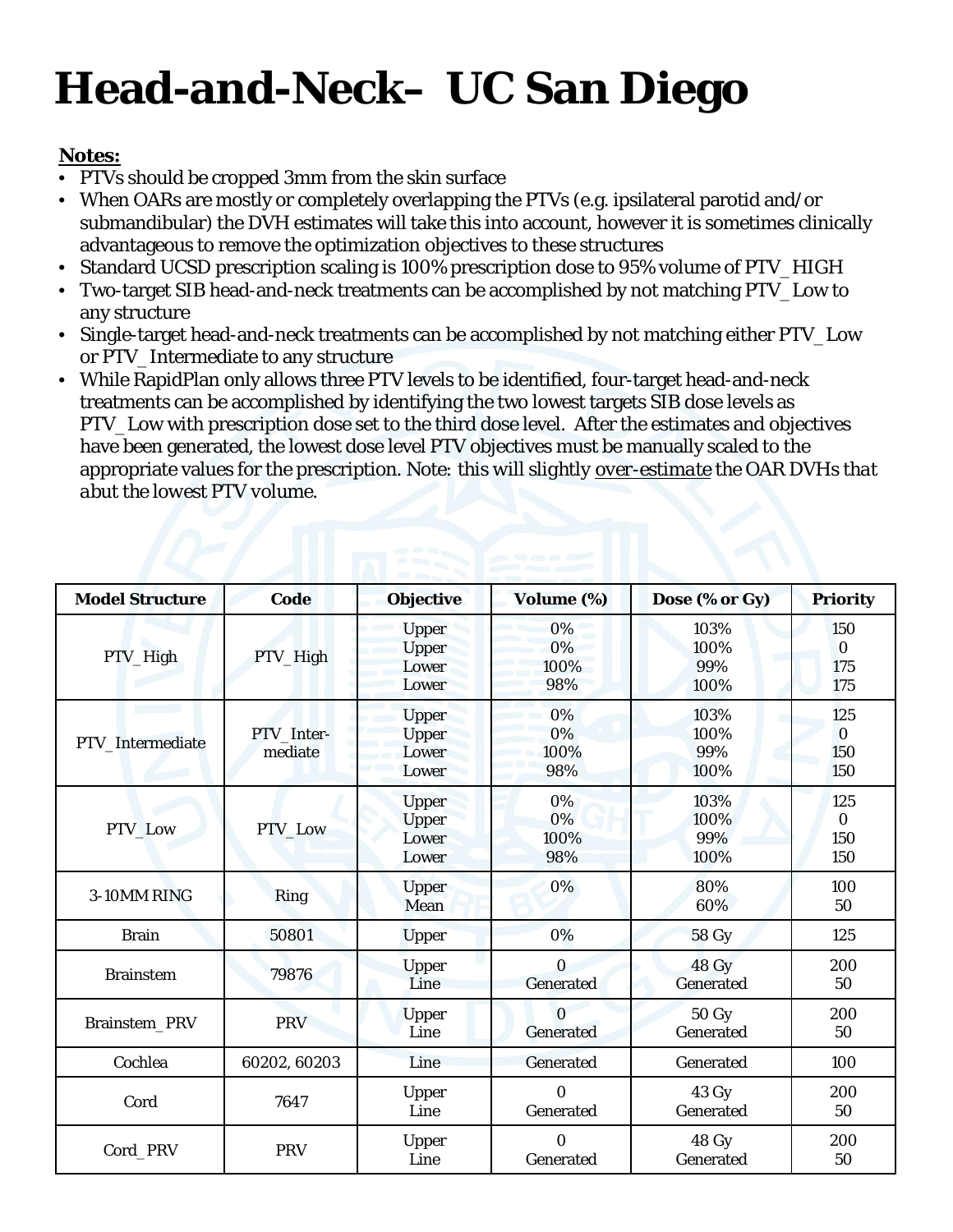# **Head-and-Neck– UC San Diego**

### **Notes:**

- PTVs should be cropped 3mm from the skin surface
- When OARs are mostly or completely overlapping the PTVs (e.g. ipsilateral parotid and/or submandibular) the DVH estimates will take this into account, however it is sometimes clinically advantageous to remove the optimization objectives to these structures
- Standard UCSD prescription scaling is 100% prescription dose to 95% volume of PTV\_HIGH
- Two-target SIB head-and-neck treatments can be accomplished by not matching PTV\_Low to any structure
- Single-target head-and-neck treatments can be accomplished by not matching either PTV\_Low or PTV\_Intermediate to any structure
- While RapidPlan only allows three PTV levels to be identified, four-target head-and-neck treatments can be accomplished by identifying the two lowest targets SIB dose levels as PTV\_Low with prescription dose set to the third dose level. After the estimates and objectives have been generated, the lowest dose level PTV objectives must be manually scaled to the appropriate values for the prescription. *Note: this will slightly over-estimate the OAR DVHs that abut the lowest PTV volume.*

| <b>Model Structure</b> | <b>Code</b>           | <b>Objective</b>                               | Volume (%)                   | Dose (% or Gy)              | <b>Priority</b>               |
|------------------------|-----------------------|------------------------------------------------|------------------------------|-----------------------------|-------------------------------|
| PTV_High               | PTV_High              | <b>Upper</b><br><b>Upper</b><br>Lower<br>Lower | 0%<br>0%<br>100%<br>98%      | 103%<br>100%<br>99%<br>100% | 150<br>$\bf{0}$<br>175<br>175 |
| PTV_Intermediate       | PTV_Inter-<br>mediate | <b>Upper</b><br><b>Upper</b><br>Lower<br>Lower | 0%<br>0%<br>100%<br>98%      | 103%<br>100%<br>99%<br>100% | 125<br>$\Omega$<br>150<br>150 |
| PTV_Low                | PTV_Low               | <b>Upper</b><br><b>Upper</b><br>Lower<br>Lower | 0%<br>0%<br>100%<br>98%      | 103%<br>100%<br>99%<br>100% | 125<br>$\bf{0}$<br>150<br>150 |
| 3-10MM RING            | Ring                  | <b>Upper</b><br>Mean                           | 0%                           | 80%<br>60%                  | 100<br>50                     |
| <b>Brain</b>           | 50801                 | <b>Upper</b>                                   | 0%                           | <b>58 Gy</b>                | 125                           |
| <b>Brainstem</b>       | 79876                 | <b>Upper</b><br>Line                           | $\Omega$<br>Generated        | 48 Gy<br><b>Generated</b>   | 200<br>50                     |
| Brainstem_PRV          | <b>PRV</b>            | <b>Upper</b><br>Line                           | $\Omega$<br><b>Generated</b> | <b>50 Gy</b><br>Generated   | 200<br>50                     |
| Cochlea                | 60202, 60203          | Line                                           | Generated                    | Generated                   | 100                           |
| Cord                   | 7647                  | Upper<br>Line                                  | $\Omega$<br>Generated        | 43 Gy<br>Generated          | 200<br>50                     |
| Cord PRV               | <b>PRV</b>            | Upper<br>Line                                  | $\Omega$<br>Generated        | 48 Gy<br>Generated          | 200<br>50                     |